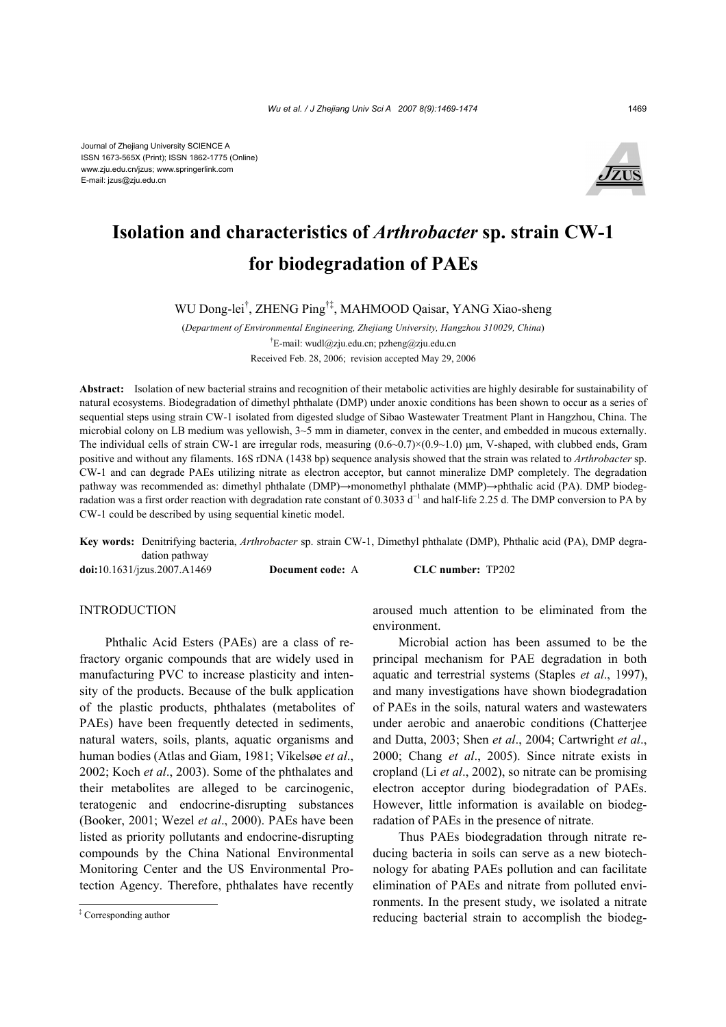

# **Isolation and characteristics of** *Arthrobacter* **sp. strain CW-1 for biodegradation of PAEs**

WU Dong-lei† , ZHENG Ping†‡, MAHMOOD Qaisar, YANG Xiao-sheng

(*Department of Environmental Engineering, Zhejiang University, Hangzhou 310029, China*) <sup>†</sup>E-mail: wudl@zju.edu.cn; pzheng@zju.edu.cn Received Feb. 28, 2006; revision accepted May 29, 2006

**Abstract:** Isolation of new bacterial strains and recognition of their metabolic activities are highly desirable for sustainability of natural ecosystems. Biodegradation of dimethyl phthalate (DMP) under anoxic conditions has been shown to occur as a series of sequential steps using strain CW-1 isolated from digested sludge of Sibao Wastewater Treatment Plant in Hangzhou, China. The microbial colony on LB medium was yellowish, 3~5 mm in diameter, convex in the center, and embedded in mucous externally. The individual cells of strain CW-1 are irregular rods, measuring  $(0.6~0.7) \times (0.9~1.0)$  µm, V-shaped, with clubbed ends, Gram positive and without any filaments. 16S rDNA (1438 bp) sequence analysis showed that the strain was related to *Arthrobacter* sp. CW-1 and can degrade PAEs utilizing nitrate as electron acceptor, but cannot mineralize DMP completely. The degradation pathway was recommended as: dimethyl phthalate (DMP)→monomethyl phthalate (MMP)→phthalic acid (PA). DMP biodegradation was a first order reaction with degradation rate constant of 0.3033 d<sup>-1</sup> and half-life 2.25 d. The DMP conversion to PA by CW-1 could be described by using sequential kinetic model.

**Key words:** Denitrifying bacteria, *Arthrobacter* sp. strain CW-1, Dimethyl phthalate (DMP), Phthalic acid (PA), DMP degradation pathway

**doi:**10.1631/jzus.2007.A1469 **Document code:** A **CLC number:** TP202

**INTRODUCTION** 

Phthalic Acid Esters (PAEs) are a class of refractory organic compounds that are widely used in manufacturing PVC to increase plasticity and intensity of the products. Because of the bulk application of the plastic products, phthalates (metabolites of PAEs) have been frequently detected in sediments, natural waters, soils, plants, aquatic organisms and human bodies (Atlas and Giam, 1981; Vikelsøe *et al*., 2002; Koch *et al*., 2003). Some of the phthalates and their metabolites are alleged to be carcinogenic, teratogenic and endocrine-disrupting substances (Booker, 2001; Wezel *et al*., 2000). PAEs have been listed as priority pollutants and endocrine-disrupting compounds by the China National Environmental Monitoring Center and the US Environmental Protection Agency. Therefore, phthalates have recently

aroused much attention to be eliminated from the environment.

Microbial action has been assumed to be the principal mechanism for PAE degradation in both aquatic and terrestrial systems (Staples *et al*., 1997), and many investigations have shown biodegradation of PAEs in the soils, natural waters and wastewaters under aerobic and anaerobic conditions (Chatterjee and Dutta, 2003; Shen *et al*., 2004; Cartwright *et al*., 2000; Chang *et al*., 2005). Since nitrate exists in cropland (Li *et al*., 2002), so nitrate can be promising electron acceptor during biodegradation of PAEs. However, little information is available on biodegradation of PAEs in the presence of nitrate.

Thus PAEs biodegradation through nitrate reducing bacteria in soils can serve as a new biotechnology for abating PAEs pollution and can facilitate elimination of PAEs and nitrate from polluted environments. In the present study, we isolated a nitrate reducing bacterial strain to accomplish the biodeg-

<sup>‡</sup> Corresponding author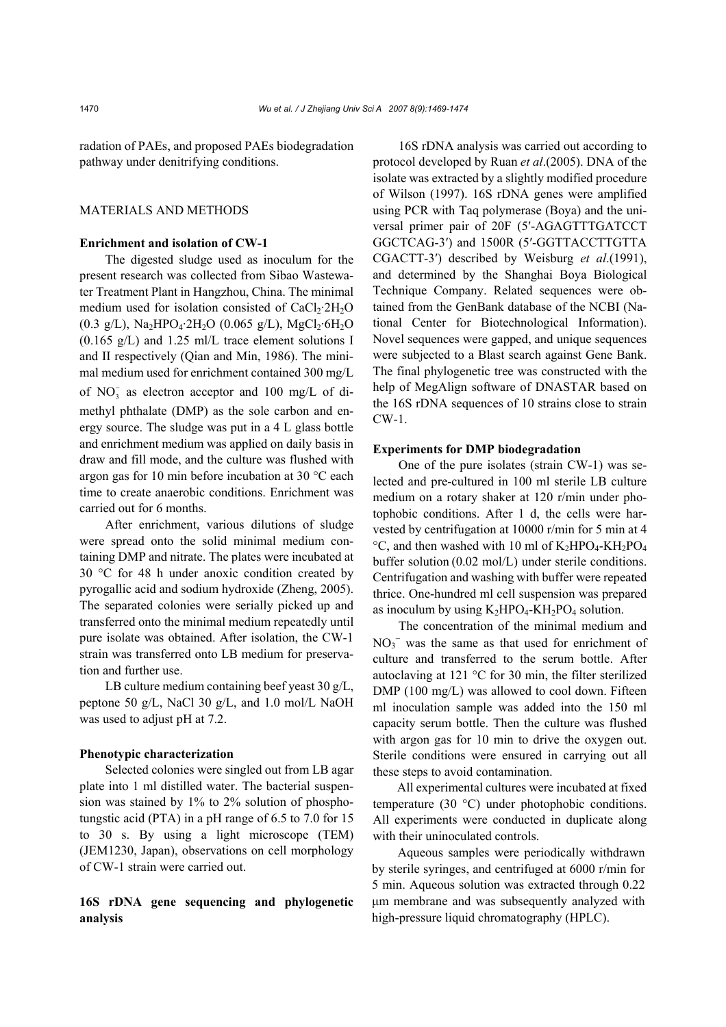radation of PAEs, and proposed PAEs biodegradation pathway under denitrifying conditions.

## MATERIALS AND METHODS

#### **Enrichment and isolation of CW-1**

The digested sludge used as inoculum for the present research was collected from Sibao Wastewater Treatment Plant in Hangzhou, China. The minimal medium used for isolation consisted of  $CaCl<sub>2</sub>·2H<sub>2</sub>O$  $(0.3 \text{ g/L})$ , Na<sub>2</sub>HPO<sub>4</sub>·2H<sub>2</sub>O  $(0.065 \text{ g/L})$ , MgCl<sub>2</sub>·6H<sub>2</sub>O  $(0.165 \text{ g/L})$  and 1.25 ml/L trace element solutions I and II respectively (Qian and Min, 1986). The minimal medium used for enrichment contained 300 mg/L of  $NO_3^-$  as electron acceptor and 100 mg/L of dimethyl phthalate (DMP) as the sole carbon and energy source. The sludge was put in a 4 L glass bottle and enrichment medium was applied on daily basis in draw and fill mode, and the culture was flushed with argon gas for 10 min before incubation at 30 °C each time to create anaerobic conditions. Enrichment was carried out for 6 months.

After enrichment, various dilutions of sludge were spread onto the solid minimal medium containing DMP and nitrate. The plates were incubated at 30 °C for 48 h under anoxic condition created by pyrogallic acid and sodium hydroxide (Zheng, 2005). The separated colonies were serially picked up and transferred onto the minimal medium repeatedly until pure isolate was obtained. After isolation, the CW-1 strain was transferred onto LB medium for preservation and further use.

LB culture medium containing beef yeast 30 g/L, peptone 50 g/L, NaCl 30 g/L, and 1.0 mol/L NaOH was used to adjust pH at 7.2.

### **Phenotypic characterization**

Selected colonies were singled out from LB agar plate into 1 ml distilled water. The bacterial suspension was stained by 1% to 2% solution of phosphotungstic acid (PTA) in a pH range of 6.5 to 7.0 for 15 to 30 s. By using a light microscope (TEM) (JEM1230, Japan), observations on cell morphology of CW-1 strain were carried out.

## **16S rDNA gene sequencing and phylogenetic analysis**

16S rDNA analysis was carried out according to protocol developed by Ruan *et al*.(2005). DNA of the isolate was extracted by a slightly modified procedure of Wilson (1997). 16S rDNA genes were amplified using PCR with Taq polymerase (Boya) and the universal primer pair of 20F (5′-AGAGTTTGATCCT GGCTCAG-3′) and 1500R (5′-GGTTACCTTGTTA CGACTT-3′) described by Weisburg *et al*.(1991), and determined by the Shanghai Boya Biological Technique Company. Related sequences were obtained from the GenBank database of the NCBI (National Center for Biotechnological Information). Novel sequences were gapped, and unique sequences were subjected to a Blast search against Gene Bank. The final phylogenetic tree was constructed with the help of MegAlign software of DNASTAR based on the 16S rDNA sequences of 10 strains close to strain CW-1.

#### **Experiments for DMP biodegradation**

One of the pure isolates (strain CW-1) was selected and pre-cultured in 100 ml sterile LB culture medium on a rotary shaker at 120 r/min under photophobic conditions. After 1 d, the cells were harvested by centrifugation at 10000 r/min for 5 min at 4  $\rm{^{\circ}C}$ , and then washed with 10 ml of K<sub>2</sub>HPO<sub>4</sub>-KH<sub>2</sub>PO<sub>4</sub> buffer solution (0.02 mol/L) under sterile conditions. Centrifugation and washing with buffer were repeated thrice. One-hundred ml cell suspension was prepared as inoculum by using  $K_2HPO_4$ -KH<sub>2</sub>PO<sub>4</sub> solution.

The concentration of the minimal medium and  $NO<sub>3</sub><sup>-</sup>$  was the same as that used for enrichment of culture and transferred to the serum bottle. After autoclaving at 121 °C for 30 min, the filter sterilized DMP (100 mg/L) was allowed to cool down. Fifteen ml inoculation sample was added into the 150 ml capacity serum bottle. Then the culture was flushed with argon gas for 10 min to drive the oxygen out. Sterile conditions were ensured in carrying out all these steps to avoid contamination.

All experimental cultures were incubated at fixed temperature (30 °C) under photophobic conditions. All experiments were conducted in duplicate along with their uninoculated controls.

Aqueous samples were periodically withdrawn by sterile syringes, and centrifuged at 6000 r/min for 5 min. Aqueous solution was extracted through 0.22 µm membrane and was subsequently analyzed with high-pressure liquid chromatography (HPLC).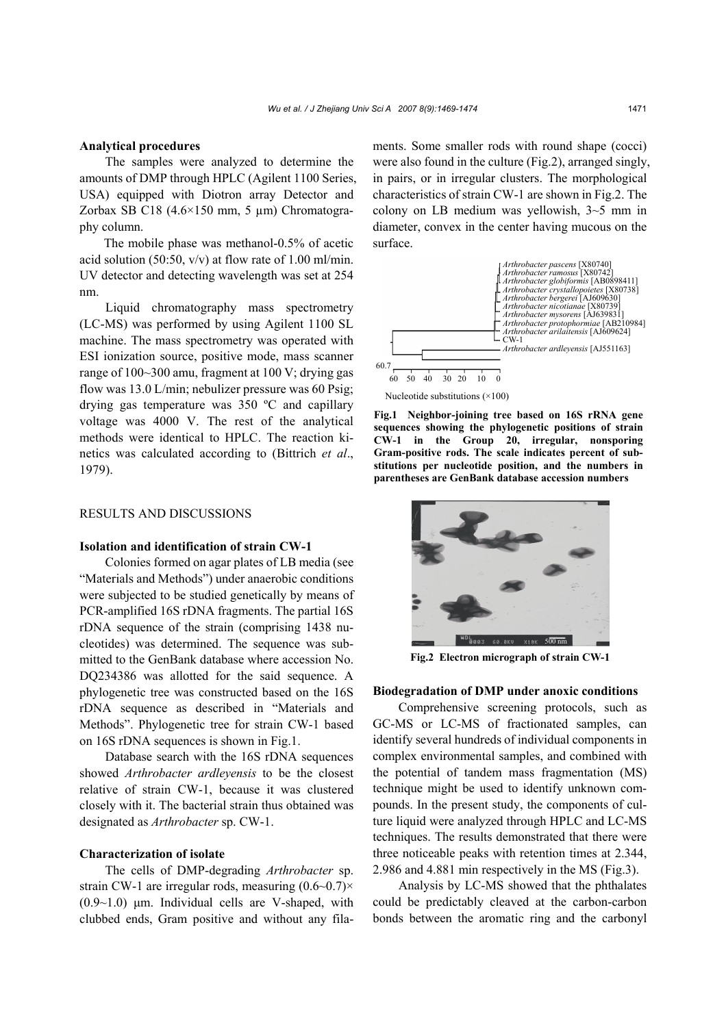#### **Analytical procedures**

The samples were analyzed to determine the amounts of DMP through HPLC (Agilent 1100 Series, USA) equipped with Diotron array Detector and Zorbax SB C18 (4.6×150 mm, 5 µm) Chromatography column.

The mobile phase was methanol-0.5% of acetic acid solution (50:50,  $v/v$ ) at flow rate of 1.00 ml/min. UV detector and detecting wavelength was set at 254 nm.

Liquid chromatography mass spectrometry (LC-MS) was performed by using Agilent 1100 SL machine. The mass spectrometry was operated with ESI ionization source, positive mode, mass scanner range of 100~300 amu, fragment at 100 V; drying gas flow was 13.0 L/min; nebulizer pressure was 60 Psig; drying gas temperature was 350 ºC and capillary voltage was 4000 V. The rest of the analytical methods were identical to HPLC. The reaction kinetics was calculated according to (Bittrich *et al*., 1979).

## RESULTS AND DISCUSSIONS

#### **Isolation and identification of strain CW-1**

Colonies formed on agar plates of LB media (see "Materials and Methods") under anaerobic conditions were subjected to be studied genetically by means of PCR-amplified 16S rDNA fragments. The partial 16S rDNA sequence of the strain (comprising 1438 nucleotides) was determined. The sequence was submitted to the GenBank database where accession No. DQ234386 was allotted for the said sequence. A phylogenetic tree was constructed based on the 16S rDNA sequence as described in "Materials and Methods". Phylogenetic tree for strain CW-1 based on 16S rDNA sequences is shown in Fig.1.

Database search with the 16S rDNA sequences showed *Arthrobacter ardleyensis* to be the closest relative of strain CW-1, because it was clustered closely with it. The bacterial strain thus obtained was designated as *Arthrobacter* sp. CW-1.

#### **Characterization of isolate**

The cells of DMP-degrading *Arthrobacter* sp. strain CW-1 are irregular rods, measuring (0.6~0.7)×  $(0.9~1.0)$  µm. Individual cells are V-shaped, with clubbed ends, Gram positive and without any filaments. Some smaller rods with round shape (cocci) were also found in the culture (Fig.2), arranged singly, in pairs, or in irregular clusters. The morphological characteristics of strain CW-1 are shown in Fig.2. The colony on LB medium was yellowish, 3~5 mm in diameter, convex in the center having mucous on the surface.



**Fig.1 Neighbor-joining tree based on 16S rRNA gene sequences showing the phylogenetic positions of strain CW-1 in the Group 20, irregular, nonsporing Gram-positive rods. The scale indicates percent of substitutions per nucleotide position, and the numbers in parentheses are GenBank database accession numbers**



**Fig.2 Electron micrograph of strain CW-1**

## **Biodegradation of DMP under anoxic conditions**

Comprehensive screening protocols, such as GC-MS or LC-MS of fractionated samples, can identify several hundreds of individual components in complex environmental samples, and combined with the potential of tandem mass fragmentation (MS) technique might be used to identify unknown compounds. In the present study, the components of culture liquid were analyzed through HPLC and LC-MS techniques. The results demonstrated that there were three noticeable peaks with retention times at 2.344, 2.986 and 4.881 min respectively in the MS (Fig.3).

Analysis by LC-MS showed that the phthalates could be predictably cleaved at the carbon-carbon bonds between the aromatic ring and the carbonyl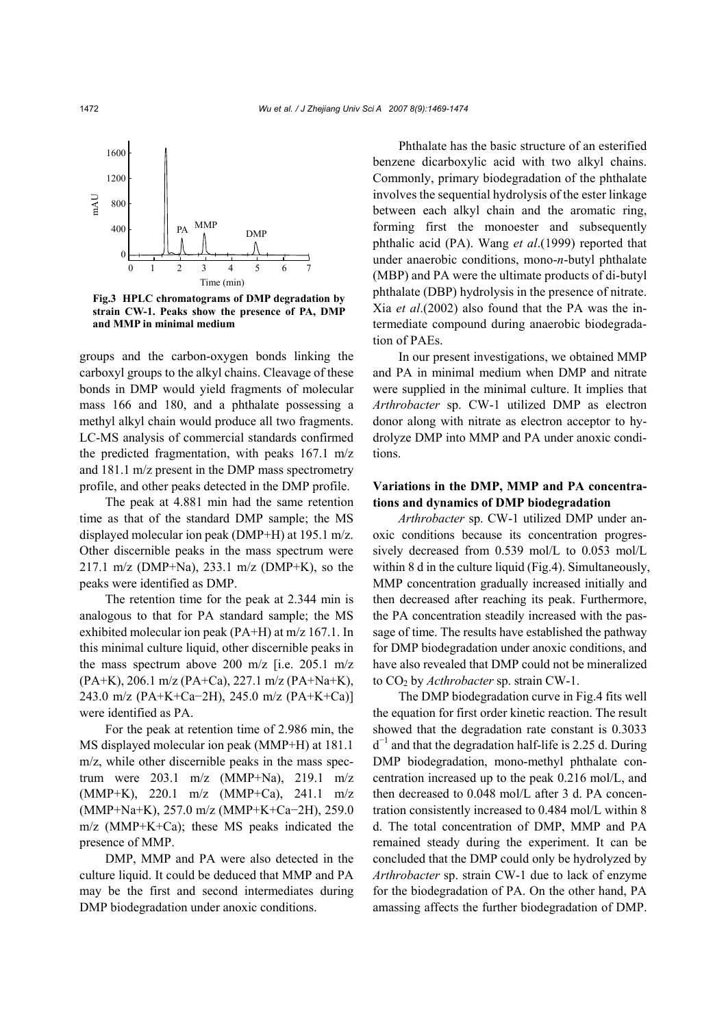

**Fig.3 HPLC chromatograms of DMP degradation by strain CW-1. Peaks show the presence of PA, DMP and MMP in minimal medium**

groups and the carbon-oxygen bonds linking the carboxyl groups to the alkyl chains. Cleavage of these bonds in DMP would yield fragments of molecular mass 166 and 180, and a phthalate possessing a methyl alkyl chain would produce all two fragments. LC-MS analysis of commercial standards confirmed the predicted fragmentation, with peaks 167.1 m/z and 181.1 m/z present in the DMP mass spectrometry profile, and other peaks detected in the DMP profile.

The peak at 4.881 min had the same retention time as that of the standard DMP sample; the MS displayed molecular ion peak (DMP+H) at 195.1 m/z. Other discernible peaks in the mass spectrum were 217.1 m/z (DMP+Na), 233.1 m/z (DMP+K), so the peaks were identified as DMP.

The retention time for the peak at 2.344 min is analogous to that for PA standard sample; the MS exhibited molecular ion peak (PA+H) at m/z 167.1. In this minimal culture liquid, other discernible peaks in the mass spectrum above 200 m/z [i.e. 205.1 m/z (PA+K), 206.1 m/z (PA+Ca), 227.1 m/z (PA+Na+K), 243.0 m/z (PA+K+Ca−2H), 245.0 m/z (PA+K+Ca)] were identified as PA.

For the peak at retention time of 2.986 min, the MS displayed molecular ion peak (MMP+H) at 181.1 m/z, while other discernible peaks in the mass spectrum were 203.1 m/z (MMP+Na), 219.1 m/z (MMP+K), 220.1 m/z (MMP+Ca), 241.1 m/z (MMP+Na+K), 257.0 m/z (MMP+K+Ca−2H), 259.0 m/z (MMP+K+Ca); these MS peaks indicated the presence of MMP.

DMP, MMP and PA were also detected in the culture liquid. It could be deduced that MMP and PA may be the first and second intermediates during DMP biodegradation under anoxic conditions.

Phthalate has the basic structure of an esterified benzene dicarboxylic acid with two alkyl chains. Commonly, primary biodegradation of the phthalate involves the sequential hydrolysis of the ester linkage between each alkyl chain and the aromatic ring, forming first the monoester and subsequently phthalic acid (PA). Wang *et al*.(1999) reported that under anaerobic conditions, mono-*n*-butyl phthalate (MBP) and PA were the ultimate products of di-butyl phthalate (DBP) hydrolysis in the presence of nitrate. Xia *et al*.(2002) also found that the PA was the intermediate compound during anaerobic biodegradation of PAEs.

In our present investigations, we obtained MMP and PA in minimal medium when DMP and nitrate were supplied in the minimal culture. It implies that *Arthrobacter* sp. CW-1 utilized DMP as electron donor along with nitrate as electron acceptor to hydrolyze DMP into MMP and PA under anoxic conditions.

## **Variations in the DMP, MMP and PA concentrations and dynamics of DMP biodegradation**

*Arthrobacter* sp. CW-1 utilized DMP under anoxic conditions because its concentration progressively decreased from 0.539 mol/L to 0.053 mol/L within 8 d in the culture liquid (Fig.4). Simultaneously, MMP concentration gradually increased initially and then decreased after reaching its peak. Furthermore, the PA concentration steadily increased with the passage of time. The results have established the pathway for DMP biodegradation under anoxic conditions, and have also revealed that DMP could not be mineralized to CO<sub>2</sub> by *Acthrobacter* sp. strain CW-1.

The DMP biodegradation curve in Fig.4 fits well the equation for first order kinetic reaction. The result showed that the degradation rate constant is 0.3033  $d^{-1}$  and that the degradation half-life is 2.25 d. During DMP biodegradation, mono-methyl phthalate concentration increased up to the peak 0.216 mol/L, and then decreased to 0.048 mol/L after 3 d. PA concentration consistently increased to 0.484 mol/L within 8 d. The total concentration of DMP, MMP and PA remained steady during the experiment. It can be concluded that the DMP could only be hydrolyzed by *Arthrobacter* sp. strain CW-1 due to lack of enzyme for the biodegradation of PA. On the other hand, PA amassing affects the further biodegradation of DMP.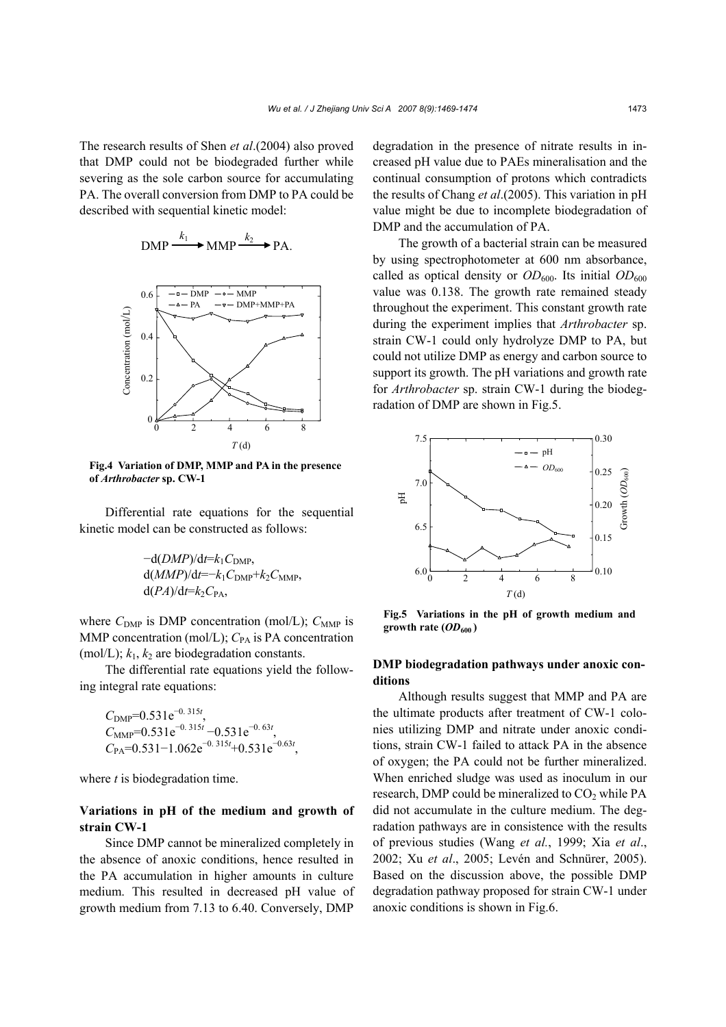The research results of Shen *et al*.(2004) also proved that DMP could not be biodegraded further while severing as the sole carbon source for accumulating PA. The overall conversion from DMP to PA could be described with sequential kinetic model:

$$
\text{DMP} \xrightarrow{k_1} \text{MMP} \xrightarrow{k_2} \text{PA}.
$$



**Fig.4 Variation of DMP, MMP and PA in the presence**

Differential rate equations for the sequential kinetic model can be constructed as follows:

$$
-d(DMP)/dt=k_1C_{\text{DMP}},
$$
  
d(MMP)/dt=-k\_1C\_{\text{DMP}}+k\_2C\_{\text{MMP}},  
d(PA)/dt=k\_2C\_{\text{PA}},

where  $C_{\text{DMP}}$  is DMP concentration (mol/L);  $C_{\text{MMP}}$  is MMP concentration (mol/L);  $C_{PA}$  is PA concentration (mol/L);  $k_1$ ,  $k_2$  are biodegradation constants.

The differential rate equations yield the following integral rate equations:

 $C_{\text{DMP}}$ =0.531e<sup>-0.315*t*</sup>,  $C_{\text{MMP}}$ =0.531e<sup>-0.315*t*</sup> -0.531e<sup>-0.63*t*</sup>, *C*PA=0.531−1.062e<sup>−</sup>0. 315*<sup>t</sup>* +0.531e<sup>−</sup>0.63*<sup>t</sup>* ,

where *t* is biodegradation time.

## **Variations in pH of the medium and growth of strain CW-1**

Since DMP cannot be mineralized completely in the absence of anoxic conditions, hence resulted in the PA accumulation in higher amounts in culture medium. This resulted in decreased pH value of growth medium from 7.13 to 6.40. Conversely, DMP

degradation in the presence of nitrate results in increased pH value due to PAEs mineralisation and the continual consumption of protons which contradicts the results of Chang *et al*.(2005). This variation in pH value might be due to incomplete biodegradation of DMP and the accumulation of PA.

The growth of a bacterial strain can be measured by using spectrophotometer at 600 nm absorbance, called as optical density or  $OD_{600}$ . Its initial  $OD_{600}$ value was 0.138. The growth rate remained steady throughout the experiment. This constant growth rate during the experiment implies that *Arthrobacter* sp. strain CW-1 could only hydrolyze DMP to PA, but could not utilize DMP as energy and carbon source to support its growth. The pH variations and growth rate for *Arthrobacter* sp. strain CW-1 during the biodegradation of DMP are shown in Fig.5.



**Fig.5 Variations in the pH of growth medium and growth rate (** $OD_{600}$ **)** 

## **DMP biodegradation pathways under anoxic conditions**

Although results suggest that MMP and PA are the ultimate products after treatment of CW-1 colonies utilizing DMP and nitrate under anoxic conditions, strain CW-1 failed to attack PA in the absence of oxygen; the PA could not be further mineralized. When enriched sludge was used as inoculum in our research, DMP could be mineralized to  $CO<sub>2</sub>$  while PA did not accumulate in the culture medium. The degradation pathways are in consistence with the results of previous studies (Wang *et al.*, 1999; Xia *et al*., 2002; Xu *et al*., 2005; Levén and Schnürer, 2005). Based on the discussion above, the possible DMP degradation pathway proposed for strain CW-1 under anoxic conditions is shown in Fig.6.